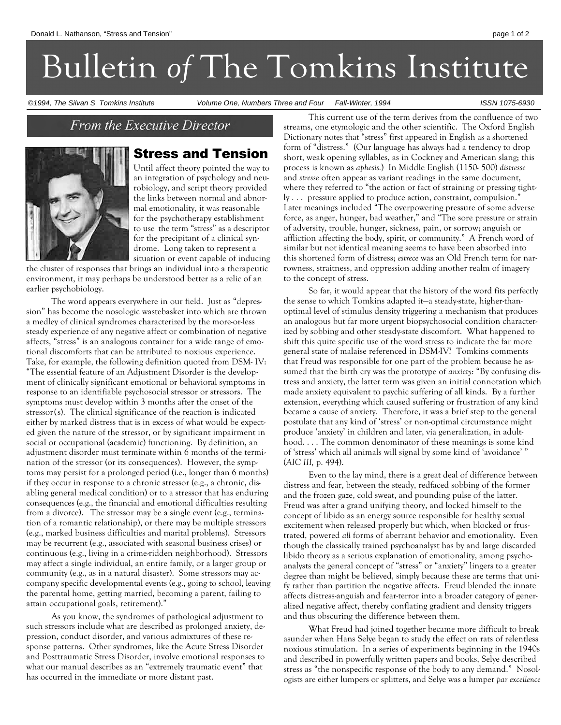## Bulletin of The Tomkins Institute

*©1994, The Silvan S Tomkins Institute Volume One, Numbers Three and Four Fall-Winter, 1994 ISSN 1075-6930*

**From the Executive Director** 



## Stress and Tension

Until affect theory pointed the way to an integration of psychology and neurobiology, and script theory provided the links between normal and abnormal emotionality, it was reasonable for the psychotherapy establishment to use the term "stress" as a descriptor for the precipitant of a clinical syndrome. Long taken to represent a situation or event capable of inducing

the cluster of responses that brings an individual into a therapeutic environment, it may perhaps be understood better as a relic of an earlier psychobiology.

The word appears everywhere in our field. Just as "depression" has become the nosologic wastebasket into which are thrown a medley of clinical syndromes characterized by the more-or-less steady experience of any negative affect or combination of negative affects, "stress" is an analogous container for a wide range of emotional discomforts that can be attributed to noxious experience. Take, for example, the following definition quoted from DSM- IV: "The essential feature of an Adjustment Disorder is the development of clinically significant emotional or behavioral symptoms in response to an identifiable psychosocial stressor or stressors. The symptoms must develop within 3 months after the onset of the stressor(s). The clinical significance of the reaction is indicated either by marked distress that is in excess of what would be expected given the nature of the stressor, or by significant impairment in social or occupational (academic) functioning. By definition, an adjustment disorder must terminate within 6 months of the termination of the stressor (or its consequences). However, the symptoms may persist for a prolonged period (i.e., longer than 6 months) if they occur in response to a chronic stressor (e.g., a chronic, disabling general medical condition) or to a stressor that has enduring consequences (e.g., the financial and emotional difficulties resulting from a divorce). The stressor may be a single event (e.g., termination of a romantic relationship), or there may be multiple stressors (e.g., marked business difficulties and marital problems). Stressors may be recurrent (e.g., associated with seasonal business crises) or continuous (e.g., living in a crime-ridden neighborhood). Stressors may affect a single individual, an entire family, or a larger group or community (e.g., as in a natural disaster). Some stressors may accompany specific developmental events (e.g., going to school, leaving the parental home, getting married, becoming a parent, failing to attain occupational goals, retirement)."

As you know, the syndromes of pathological adjustment to such stressors include what are described as prolonged anxiety, depression, conduct disorder, and various admixtures of these response patterns. Other syndromes, like the Acute Stress Disorder and Posttraumatic Stress Disorder, involve emotional responses to what our manual describes as an "extremely traumatic event" that has occurred in the immediate or more distant past.

This current use of the term derives from the confluence of two streams, one etymologic and the other scientific. The Oxford English Dictionary notes that "stress" first appeared in English as a shortened form of "distress." (Our language has always had a tendency to drop short, weak opening syllables, as in Cockney and American slang; this process is known as *aphesis.*) In Middle English (1150- 500) *distresse*  and *stresse* often appear as variant readings in the same document, where they referred to "the action or fact of straining or pressing tightly . . . pressure applied to produce action, constraint, compulsion." Later meanings included "The overpowering pressure of some adverse force, as anger, hunger, bad weather," and "The sore pressure or strain of adversity, trouble, hunger, sickness, pain, or sorrow; anguish or affliction affecting the body, spirit, or community." A French word of similar but not identical meaning seems to have been absorbed into this shortened form of distress; *estrece* was an Old French term for narrowness, straitness, and oppression adding another realm of imagery to the concept of stress.

So far, it would appear that the history of the word fits perfectly the sense to which Tomkins adapted it—a steady-state, higher-thanoptimal level of stimulus density triggering a mechanism that produces an analogous but far more urgent biopsychosocial condition characterized by sobbing and other steady-state discomfort. What happened to shift this quite specific use of the word stress to indicate the far more general state of malaise referenced in DSM-IV? Tomkins comments that Freud was responsible for one part of the problem because he assumed that the birth cry was the prototype of *anxiety*: "By confusing distress and anxiety, the latter term was given an initial connotation which made anxiety equivalent to psychic suffering of all kinds. By a further extension, everything which caused suffering or frustration of any kind became a cause of anxiety. Therefore, it was a brief step to the general postulate that any kind of 'stress' or non-optimal circumstance might produce 'anxiety' in children and later, via generalization, in adulthood. . . . The common denominator of these meanings is some kind of 'stress' which all animals will signal by some kind of 'avoidance' " (*AIC III,* p. 494).

Even to the lay mind, there is a great deal of difference between distress and fear, between the steady, redfaced sobbing of the former and the frozen gaze, cold sweat, and pounding pulse of the latter. Freud was after a grand unifying theory, and locked himself to the concept of libido as an energy source responsible for healthy sexual excitement when released properly but which, when blocked or frustrated, powered *all* forms of aberrant behavior and emotionality. Even though the classically trained psychoanalyst has by and large discarded libido theory as a serious explanation of emotionality, among psychoanalysts the general concept of "stress" or "anxiety" lingers to a greater degree than might be believed, simply because these are terms that unify rather than partition the negative affects. Freud blended the innate affects distress-anguish and fear-terror into a broader category of generalized negative affect, thereby conflating gradient and density triggers and thus obscuring the difference between them.

What Freud had joined together became more difficult to break asunder when Hans Selye began to study the effect on rats of relentless noxious stimulation. In a series of experiments beginning in the 1940s and described in powerfully written papers and books, Selye described stress as "the nonspecific response of the body to any demand." Nosologists are either lumpers or splitters, and Selye was a lumper *par excellence*